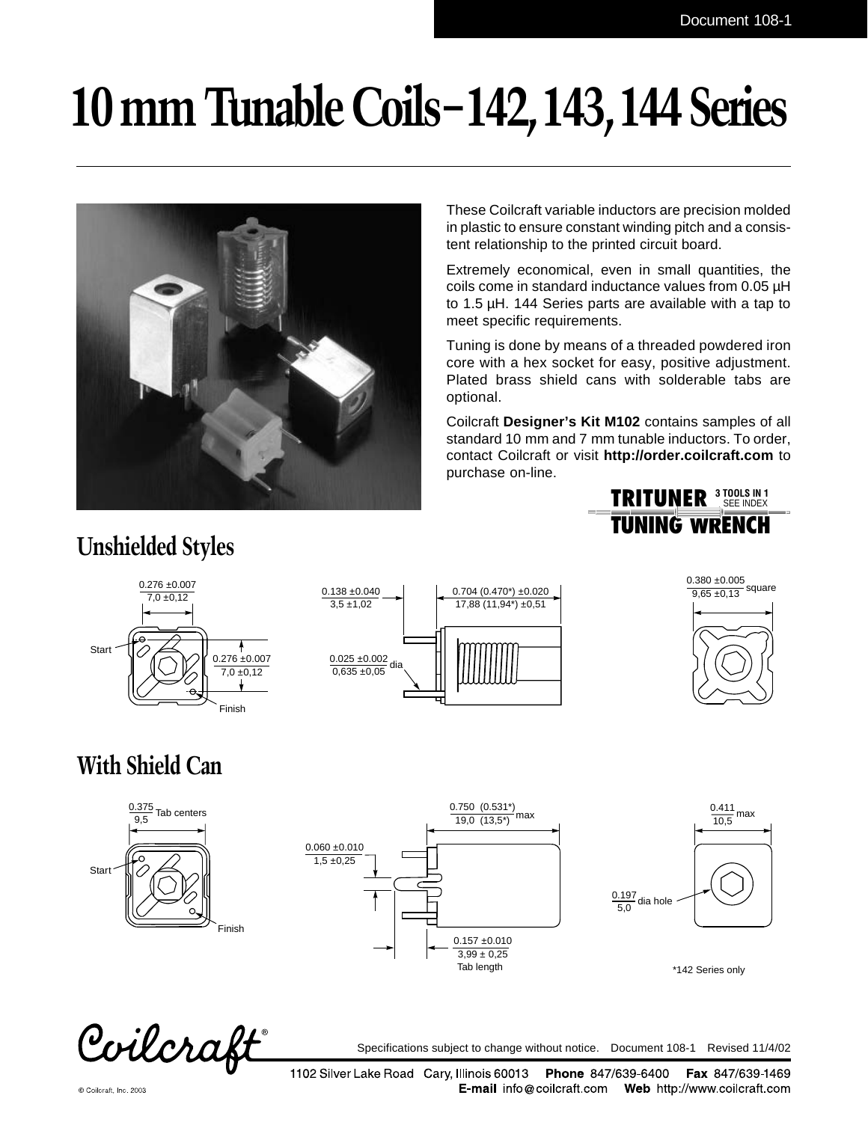# **10 mm Tunable Coils – 142,143,144 Series**



These Coilcraft variable inductors are precision molded in plastic to ensure constant winding pitch and a consistent relationship to the printed circuit board.

Extremely economical, even in small quantities, the coils come in standard inductance values from 0.05 µH to 1.5 µH. 144 Series parts are available with a tap to meet specific requirements.

Tuning is done by means of a threaded powdered iron core with a hex socket for easy, positive adjustment. Plated brass shield cans with solderable tabs are optional.

Coilcraft **Designer's Kit M102** contains samples of all standard 10 mm and 7 mm tunable inductors. To order, contact Coilcraft or visit **http://order.coilcraft.com** to purchase on-line.



### **Unshielded Styles**







## **With Shield Can**







\*142 Series only

Coilcraft

Specifications subject to change without notice. Document 108-1 Revised 11/4/02

1102 Silver Lake Road Cary, Illinois 60013 Phone 847/639-6400 Fax 847/639-1469 **E-mail** info@coilcraft.com Web http://www.coilcraft.com